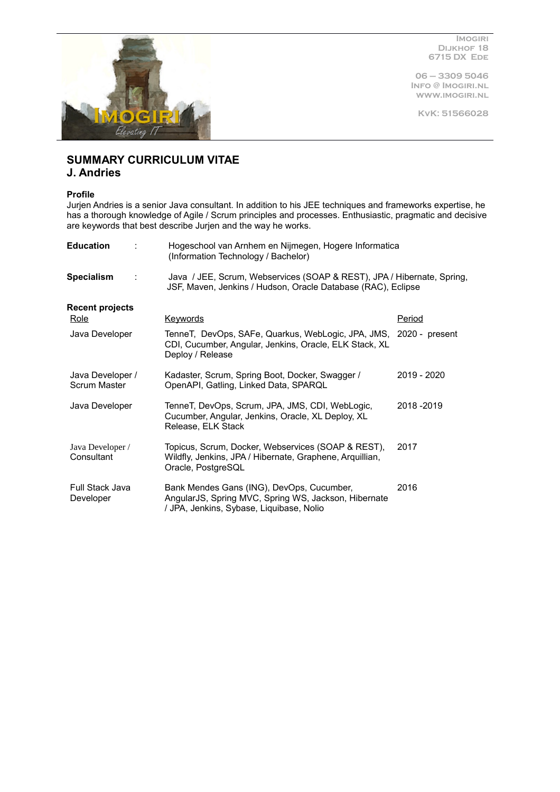

**Imogiri Dijkhof 18 6715 DX Ede**

**06 – 3309 5046 Info @ Imogiri.nl www.imogiri.nl**

**KvK: 51566028**

# **SUMMARY CURRICULUM VITAE**

# **J. Andries**

## **Profile**

Jurjen Andries is a senior Java consultant. In addition to his JEE techniques and frameworks expertise, he has a thorough knowledge of Agile / Scrum principles and processes. Enthusiastic, pragmatic and decisive are keywords that best describe Jurjen and the way he works.

| <b>Education</b>                          | Hogeschool van Arnhem en Nijmegen, Hogere Informatica<br>(Information Technology / Bachelor)                                                    |               |  |  |
|-------------------------------------------|-------------------------------------------------------------------------------------------------------------------------------------------------|---------------|--|--|
| <b>Specialism</b><br>$\ddot{\phantom{a}}$ | Java / JEE, Scrum, Webservices (SOAP & REST), JPA / Hibernate, Spring,<br>JSF, Maven, Jenkins / Hudson, Oracle Database (RAC), Eclipse          |               |  |  |
| <b>Recent projects</b>                    |                                                                                                                                                 |               |  |  |
| Role                                      | <b>Keywords</b>                                                                                                                                 | <b>Period</b> |  |  |
| Java Developer                            | TenneT, DevOps, SAFe, Quarkus, WebLogic, JPA, JMS, 2020 - present<br>CDI, Cucumber, Angular, Jenkins, Oracle, ELK Stack, XL<br>Deploy / Release |               |  |  |
| Java Developer /<br><b>Scrum Master</b>   | Kadaster, Scrum, Spring Boot, Docker, Swagger /<br>OpenAPI, Gatling, Linked Data, SPARQL                                                        | 2019 - 2020   |  |  |
| Java Developer                            | TenneT, DevOps, Scrum, JPA, JMS, CDI, WebLogic,<br>Cucumber, Angular, Jenkins, Oracle, XL Deploy, XL<br>Release, ELK Stack                      | 2018-2019     |  |  |
| Java Developer /<br>Consultant            | Topicus, Scrum, Docker, Webservices (SOAP & REST),<br>Wildfly, Jenkins, JPA / Hibernate, Graphene, Arquillian,<br>Oracle, PostgreSQL            | 2017          |  |  |
| Full Stack Java<br>Developer              | Bank Mendes Gans (ING), DevOps, Cucumber,<br>AngularJS, Spring MVC, Spring WS, Jackson, Hibernate<br>/ JPA, Jenkins, Sybase, Liquibase, Nolio   | 2016          |  |  |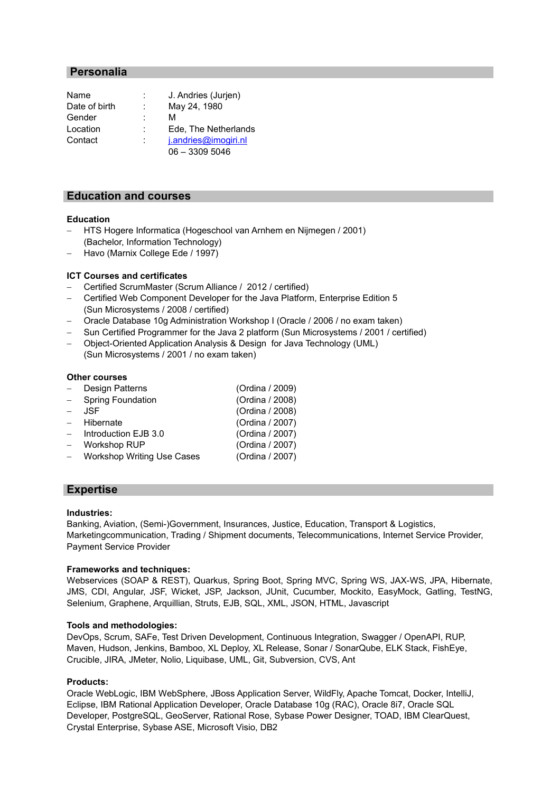# **Personalia**

| Name          | J. Andries (Jurjen)  |
|---------------|----------------------|
| Date of birth | May 24, 1980         |
| Gender        | м                    |
| Location      | Ede, The Netherlands |
| Contact       | j.andries@imogiri.nl |
|               | $06 - 33095046$      |

## **Education and courses**

#### **Education**

- HTS Hogere Informatica (Hogeschool van Arnhem en Nijmegen / 2001) (Bachelor, Information Technology)
- Havo (Marnix College Ede / 1997)

#### **ICT Courses and certificates**

- Certified ScrumMaster (Scrum Alliance / 2012 / certified)
- Certified Web Component Developer for the Java Platform, Enterprise Edition 5 (Sun Microsystems / 2008 / certified)
- Oracle Database 10g Administration Workshop I (Oracle / 2006 / no exam taken)
- Sun Certified Programmer for the Java 2 platform (Sun Microsystems / 2001 / certified)
- Object-Oriented Application Analysis & Design for Java Technology (UML) (Sun Microsystems / 2001 / no exam taken)

#### **Other courses**

|               | Design Patterns              | (Ordina / 2009) |
|---------------|------------------------------|-----------------|
| $\frac{1}{2}$ | <b>Spring Foundation</b>     | (Ordina / 2008) |
| $ \,$         | JSF.                         | (Ordina / 2008) |
|               | - Hibernate                  | (Ordina / 2007) |
|               | $-$ Introduction EJB 3.0     | (Ordina / 2007) |
|               | Workshop RUP                 | (Ordina / 2007) |
|               | - Workshop Writing Use Cases | (Ordina / 2007) |
|               |                              |                 |

## **Expertise**

#### **Industries:**

Banking, Aviation, (Semi-)Government, Insurances, Justice, Education, Transport & Logistics, Marketingcommunication, Trading / Shipment documents, Telecommunications, Internet Service Provider, Payment Service Provider

#### **Frameworks and techniques:**

Webservices (SOAP & REST), Quarkus, Spring Boot, Spring MVC, Spring WS, JAX-WS, JPA, Hibernate, JMS, CDI, Angular, JSF, Wicket, JSP, Jackson, JUnit, Cucumber, Mockito, EasyMock, Gatling, TestNG, Selenium, Graphene, Arquillian, Struts, EJB, SQL, XML, JSON, HTML, Javascript

#### **Tools and methodologies:**

DevOps, Scrum, SAFe, Test Driven Development, Continuous Integration, Swagger / OpenAPI, RUP, Maven, Hudson, Jenkins, Bamboo, XL Deploy, XL Release, Sonar / SonarQube, ELK Stack, FishEye, Crucible, JIRA, JMeter, Nolio, Liquibase, UML, Git, Subversion, CVS, Ant

#### **Products:**

Oracle WebLogic, IBM WebSphere, JBoss Application Server, WildFly, Apache Tomcat, Docker, IntelliJ, Eclipse, IBM Rational Application Developer, Oracle Database 10g (RAC), Oracle 8i7, Oracle SQL Developer, PostgreSQL, GeoServer, Rational Rose, Sybase Power Designer, TOAD, IBM ClearQuest, Crystal Enterprise, Sybase ASE, Microsoft Visio, DB2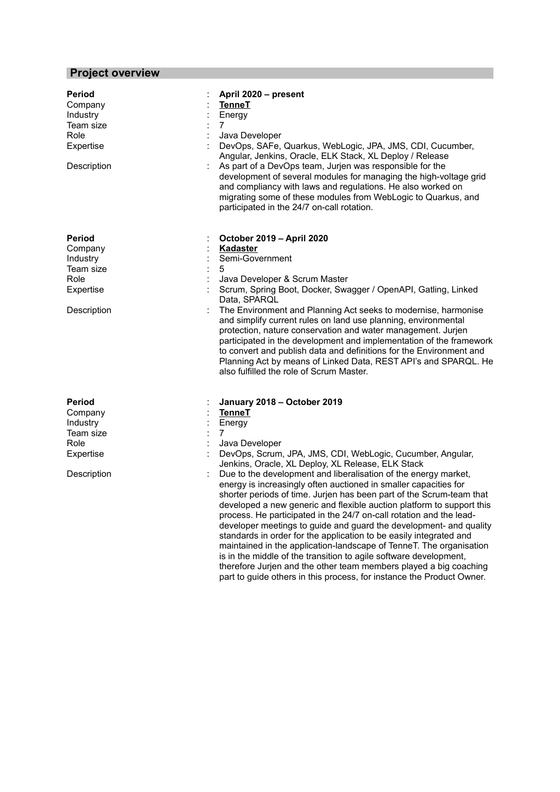# **Project overview**

| Period<br>Company<br>Industry<br>Team size<br>Role<br>Expertise<br>Description        | April 2020 - present<br><b>TenneT</b><br>Energy<br>7<br>Java Developer<br>DevOps, SAFe, Quarkus, WebLogic, JPA, JMS, CDI, Cucumber,<br>Angular, Jenkins, Oracle, ELK Stack, XL Deploy / Release<br>As part of a DevOps team, Jurjen was responsible for the<br>development of several modules for managing the high-voltage grid<br>and compliancy with laws and regulations. He also worked on<br>migrating some of these modules from WebLogic to Quarkus, and<br>participated in the 24/7 on-call rotation.                                                                                                                                                                                                                                                                                                                                                                                                                                                                                        |
|---------------------------------------------------------------------------------------|-------------------------------------------------------------------------------------------------------------------------------------------------------------------------------------------------------------------------------------------------------------------------------------------------------------------------------------------------------------------------------------------------------------------------------------------------------------------------------------------------------------------------------------------------------------------------------------------------------------------------------------------------------------------------------------------------------------------------------------------------------------------------------------------------------------------------------------------------------------------------------------------------------------------------------------------------------------------------------------------------------|
| <b>Period</b><br>Company<br>Industry<br>Team size<br>Role<br>Expertise<br>Description | October 2019 - April 2020<br><b>Kadaster</b><br>Semi-Government<br>5<br>Java Developer & Scrum Master<br>Scrum, Spring Boot, Docker, Swagger / OpenAPI, Gatling, Linked<br>Data, SPARQL<br>The Environment and Planning Act seeks to modernise, harmonise<br>and simplify current rules on land use planning, environmental<br>protection, nature conservation and water management. Jurjen<br>participated in the development and implementation of the framework<br>to convert and publish data and definitions for the Environment and<br>Planning Act by means of Linked Data, REST API's and SPARQL. He<br>also fulfilled the role of Scrum Master.                                                                                                                                                                                                                                                                                                                                              |
| Period<br>Company<br>Industry<br>Team size<br>Role<br>Expertise<br>Description        | January 2018 - October 2019<br><b>TenneT</b><br>Energy<br>7<br>Java Developer<br>DevOps, Scrum, JPA, JMS, CDI, WebLogic, Cucumber, Angular,<br>Jenkins, Oracle, XL Deploy, XL Release, ELK Stack<br>Due to the development and liberalisation of the energy market,<br>energy is increasingly often auctioned in smaller capacities for<br>shorter periods of time. Jurjen has been part of the Scrum-team that<br>developed a new generic and flexible auction platform to support this<br>process. He participated in the 24/7 on-call rotation and the lead-<br>developer meetings to guide and guard the development- and quality<br>standards in order for the application to be easily integrated and<br>maintained in the application-landscape of TenneT. The organisation<br>is in the middle of the transition to agile software development,<br>therefore Jurjen and the other team members played a big coaching<br>part to guide others in this process, for instance the Product Owner. |